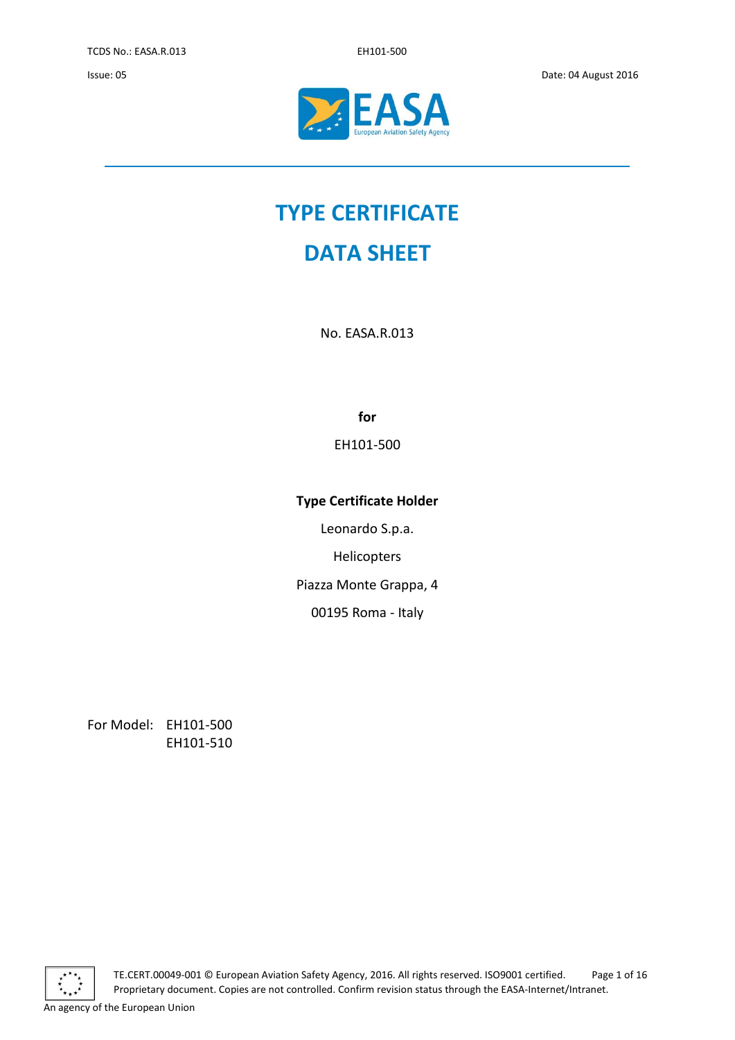

# **TYPE CERTIFICATE**

## **DATA SHEET**

No. EASA.R.013

**for**

EH101-500

### **Type Certificate Holder**

Leonardo S.p.a.

Helicopters

Piazza Monte Grappa, 4

00195 Roma - Italy

For Model: EH101-500 EH101-510



TE.CERT.00049-001 © European Aviation Safety Agency, 2016. All rights reserved. ISO9001 certified. Page 1 of 16 Proprietary document. Copies are not controlled. Confirm revision status through the EASA-Internet/Intranet.

An agency of the European Union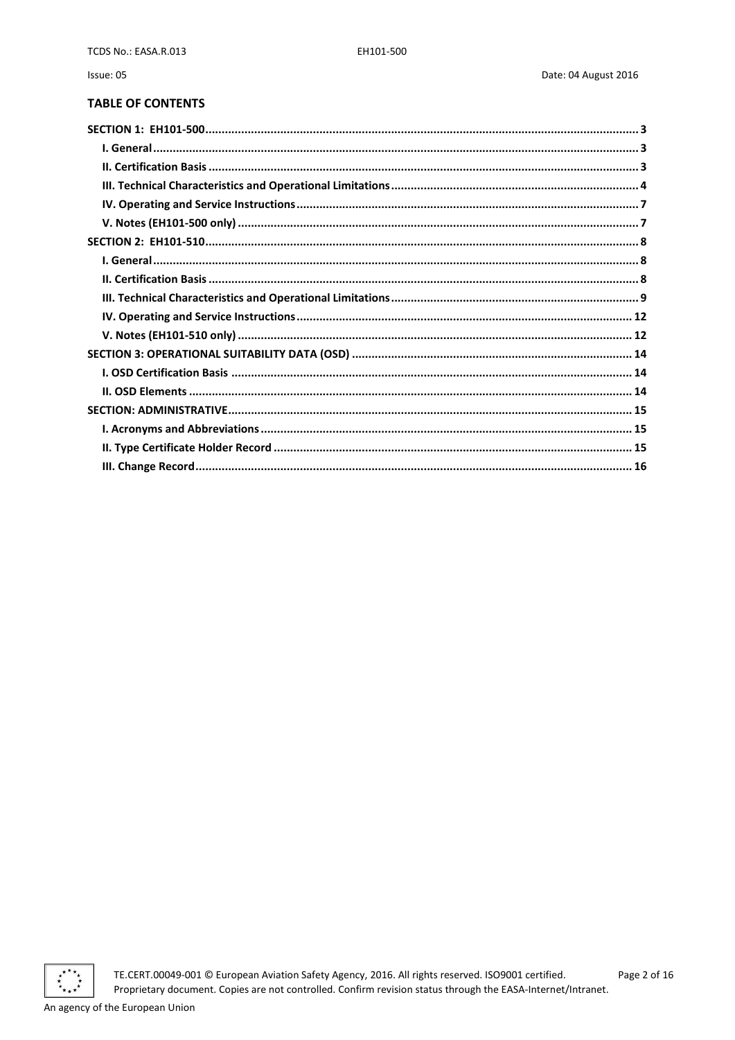### **TABLE OF CONTENTS**

Issue: 05



TE.CERT.00049-001 © European Aviation Safety Agency, 2016. All rights reserved. ISO9001 certified. Proprietary document. Copies are not controlled. Confirm revision status through the EASA-Internet/Intranet.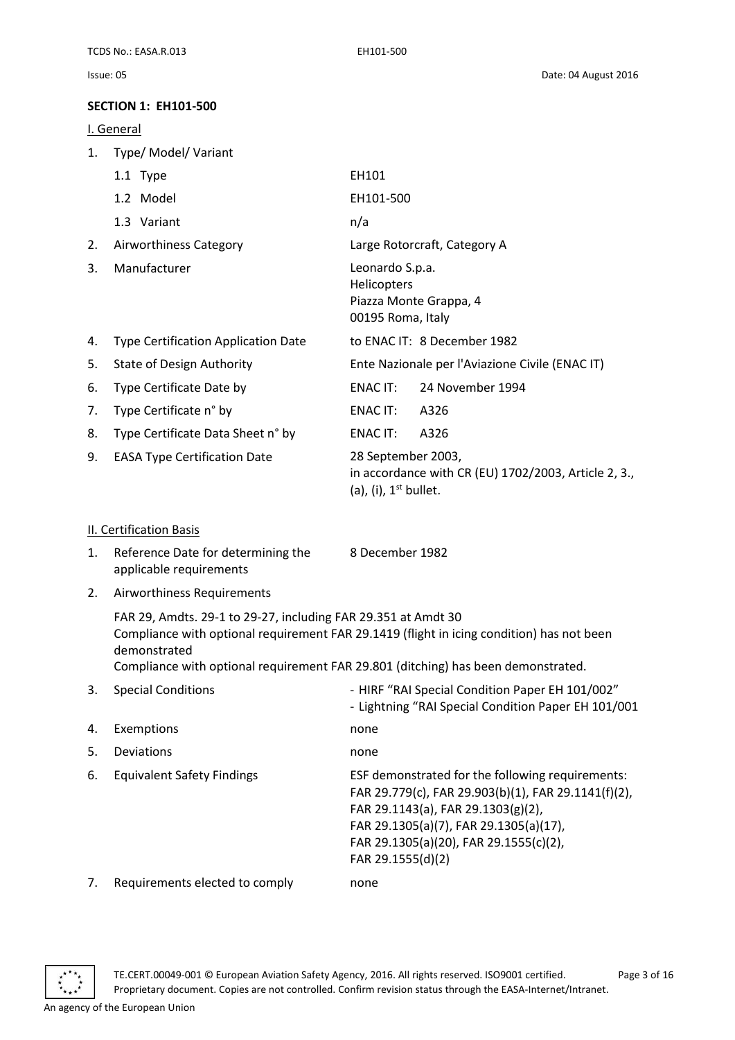#### <span id="page-2-0"></span>**SECTION 1: EH101-500**

<span id="page-2-1"></span>I. General

| 1. | Type/ Model/ Variant                       |                                                                                                          |
|----|--------------------------------------------|----------------------------------------------------------------------------------------------------------|
|    | 1.1 Type                                   | EH101                                                                                                    |
|    | 1.2 Model                                  | EH101-500                                                                                                |
|    | 1.3 Variant                                | n/a                                                                                                      |
| 2. | Airworthiness Category                     | Large Rotorcraft, Category A                                                                             |
| 3. | Manufacturer                               | Leonardo S.p.a.<br><b>Helicopters</b><br>Piazza Monte Grappa, 4<br>00195 Roma, Italy                     |
| 4. | <b>Type Certification Application Date</b> | to ENAC IT: 8 December 1982                                                                              |
| 5. | <b>State of Design Authority</b>           | Ente Nazionale per l'Aviazione Civile (ENAC IT)                                                          |
| 6. | Type Certificate Date by                   | 24 November 1994<br>ENAC IT:                                                                             |
| 7. | Type Certificate n° by                     | ENAC IT:<br>A326                                                                                         |
| 8. | Type Certificate Data Sheet n° by          | ENAC IT:<br>A326                                                                                         |
| 9. | <b>EASA Type Certification Date</b>        | 28 September 2003,<br>in accordance with CR (EU) $1702/2003$ , Article 2, 3.,<br>(a), (i), $1st$ bullet. |

#### <span id="page-2-2"></span>II. Certification Basis

| Reference Date for determining the | 8 December 1982 |
|------------------------------------|-----------------|
| applicable requirements            |                 |

2. Airworthiness Requirements

FAR 29, Amdts. 29-1 to 29-27, including FAR 29.351 at Amdt 30 Compliance with optional requirement FAR 29.1419 (flight in icing condition) has not been demonstrated

Compliance with optional requirement FAR 29.801 (ditching) has been demonstrated.

| 3. | <b>Special Conditions</b>         | - HIRF "RAI Special Condition Paper EH 101/002"<br>- Lightning "RAI Special Condition Paper EH 101/001                                                                                                                                                 |
|----|-----------------------------------|--------------------------------------------------------------------------------------------------------------------------------------------------------------------------------------------------------------------------------------------------------|
| 4. | Exemptions                        | none                                                                                                                                                                                                                                                   |
| 5. | Deviations                        | none                                                                                                                                                                                                                                                   |
| 6. | <b>Equivalent Safety Findings</b> | ESF demonstrated for the following requirements:<br>FAR 29.779(c), FAR 29.903(b)(1), FAR 29.1141(f)(2),<br>FAR 29.1143(a), FAR 29.1303(g)(2),<br>FAR 29.1305(a)(7), FAR 29.1305(a)(17),<br>FAR 29.1305(a)(20), FAR 29.1555(c)(2),<br>FAR 29.1555(d)(2) |
| 7. | Requirements elected to comply    | none                                                                                                                                                                                                                                                   |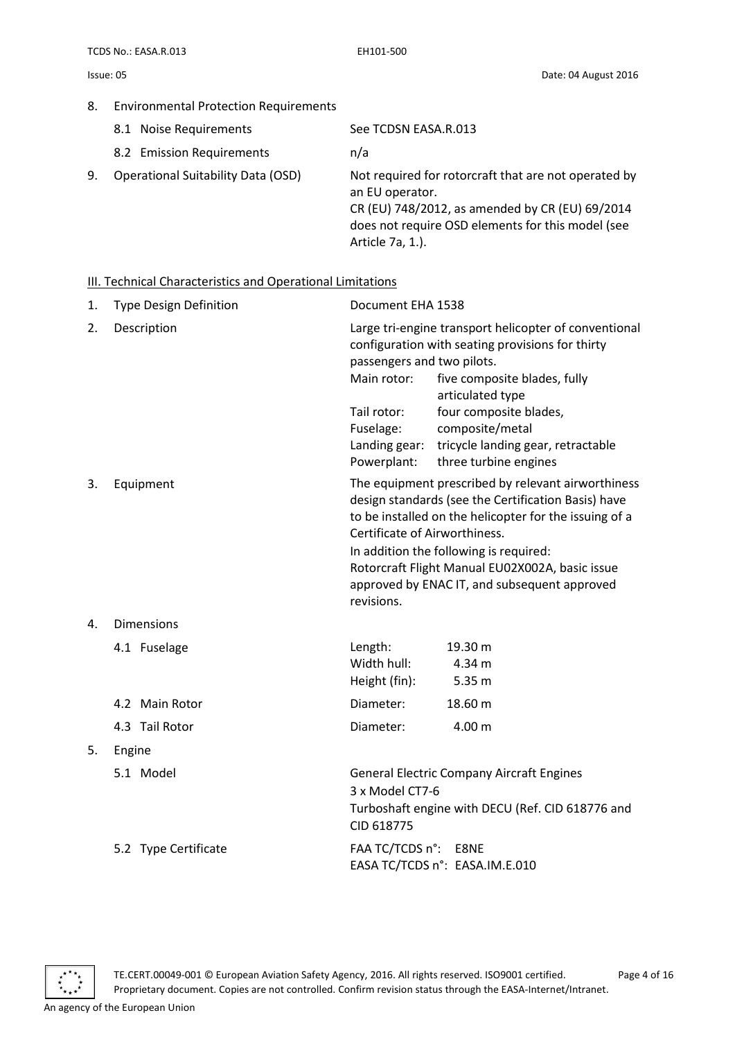#### 8. Environmental Protection Requirements

- 8.1 Noise Requirements See TCDSN EASA.R.013
- 8.2 Emission Requirements n/a

9. Operational Suitability Data (OSD) Not required for rotorcraft that are not operated by an EU operator. CR (EU) 748/2012, as amended by CR (EU) 69/2014 does not require OSD elements for this model (see Article 7a, 1.).

#### <span id="page-3-0"></span>III. Technical Characteristics and Operational Limitations

| 1. | <b>Type Design Definition</b> | Document EHA 1538                                                                                                                                                                                                                                                                                                                                               |                                                                                                                                                                                                                                                                           |  |
|----|-------------------------------|-----------------------------------------------------------------------------------------------------------------------------------------------------------------------------------------------------------------------------------------------------------------------------------------------------------------------------------------------------------------|---------------------------------------------------------------------------------------------------------------------------------------------------------------------------------------------------------------------------------------------------------------------------|--|
| 2. | Description                   | passengers and two pilots.<br>Main rotor:<br>Tail rotor:<br>Fuselage:<br>Landing gear:<br>Powerplant:                                                                                                                                                                                                                                                           | Large tri-engine transport helicopter of conventional<br>configuration with seating provisions for thirty<br>five composite blades, fully<br>articulated type<br>four composite blades,<br>composite/metal<br>tricycle landing gear, retractable<br>three turbine engines |  |
| 3. | Equipment                     | The equipment prescribed by relevant airworthiness<br>design standards (see the Certification Basis) have<br>to be installed on the helicopter for the issuing of a<br>Certificate of Airworthiness.<br>In addition the following is required:<br>Rotorcraft Flight Manual EU02X002A, basic issue<br>approved by ENAC IT, and subsequent approved<br>revisions. |                                                                                                                                                                                                                                                                           |  |
| 4. | <b>Dimensions</b>             |                                                                                                                                                                                                                                                                                                                                                                 |                                                                                                                                                                                                                                                                           |  |
|    | 4.1 Fuselage                  | Length:<br>Width hull:<br>Height (fin):                                                                                                                                                                                                                                                                                                                         | 19.30 m<br>4.34 m<br>5.35 <sub>m</sub>                                                                                                                                                                                                                                    |  |
|    | 4.2 Main Rotor                | Diameter:                                                                                                                                                                                                                                                                                                                                                       | 18.60 m                                                                                                                                                                                                                                                                   |  |
|    | 4.3 Tail Rotor                | Diameter:                                                                                                                                                                                                                                                                                                                                                       | 4.00 m                                                                                                                                                                                                                                                                    |  |
| 5. | Engine                        |                                                                                                                                                                                                                                                                                                                                                                 |                                                                                                                                                                                                                                                                           |  |
|    | 5.1 Model                     | <b>General Electric Company Aircraft Engines</b><br>3 x Model CT7-6<br>Turboshaft engine with DECU (Ref. CID 618776 and<br>CID 618775                                                                                                                                                                                                                           |                                                                                                                                                                                                                                                                           |  |
|    | 5.2 Type Certificate          | FAA TC/TCDS n°: E8NE                                                                                                                                                                                                                                                                                                                                            | EASA TC/TCDS n°: EASA.IM.E.010                                                                                                                                                                                                                                            |  |

TE.CERT.00049-001 © European Aviation Safety Agency, 2016. All rights reserved. ISO9001 certified. Page 4 of 16 Proprietary document. Copies are not controlled. Confirm revision status through the EASA-Internet/Intranet.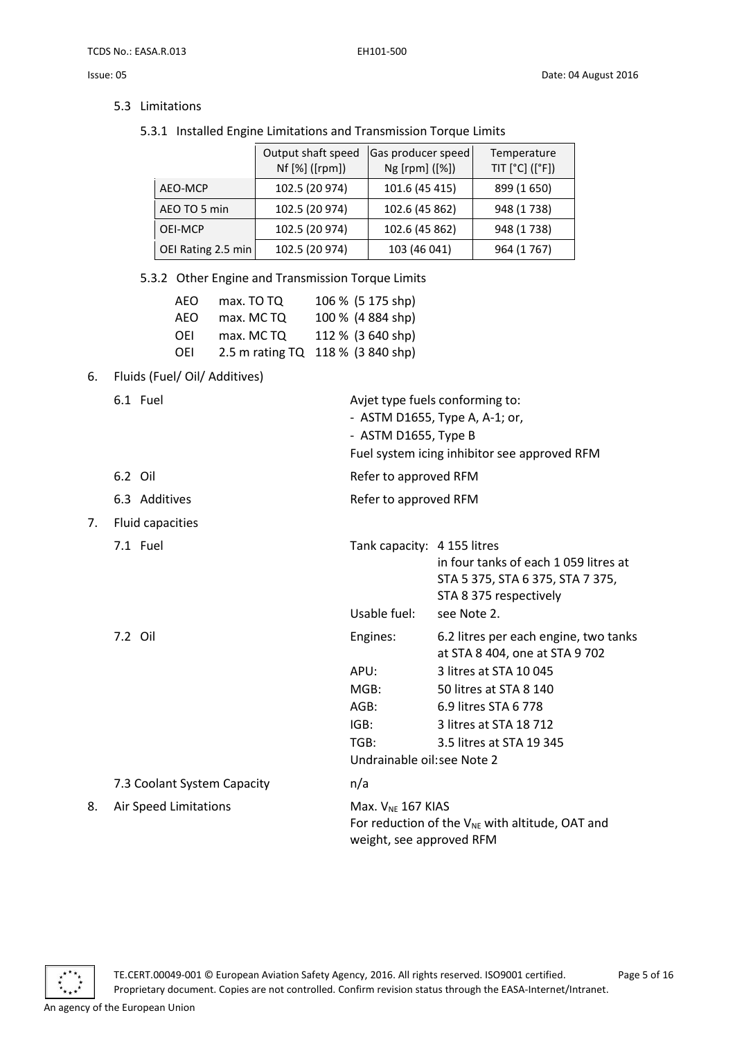5.3 Limitations

5.3.1 Installed Engine Limitations and Transmission Torque Limits

|                    | Output shaft speed<br>Nf [%] ([rpm]) | Gas producer speed<br>Ng [rpm] ([%]) | Temperature<br>TIT [°C] ([°F]) |
|--------------------|--------------------------------------|--------------------------------------|--------------------------------|
| AEO-MCP            | 102.5 (20 974)                       | 101.6 (45 415)                       | 899 (1650)                     |
| AEO TO 5 min       | 102.5 (20 974)                       | 102.6 (45 862)                       | 948 (1738)                     |
| OEI-MCP            | 102.5 (20 974)                       | 102.6 (45 862)                       | 948 (1738)                     |
| OEI Rating 2.5 min | 102.5 (20 974)                       | 103 (46 041)                         | 964 (1767)                     |

Avjet type fuels conforming to: - ASTM D1655, Type A, A-1; or,

Fuel system icing inhibitor see approved RFM

in four tanks of each 1 059 litres at STA 5 375, STA 6 375, STA 7 375,

at STA 8 404, one at STA 9 702

STA 8 375 respectively

- ASTM D1655, Type B

Usable fuel: see Note 2.

Undrainable oil:see Note 2

APU: 3 litres at STA 10 045 MGB: 50 litres at STA 8 140 AGB: 6.9 litres STA 6 778 IGB: 3 litres at STA 18 712 TGB: 3.5 litres at STA 19 345

5.3.2 Other Engine and Transmission Torque Limits

| AEO | max. TO TQ | 106 % (5 175 shp)                 |
|-----|------------|-----------------------------------|
| AEO | max. MCTQ  | 100 % (4 884 shp)                 |
| OEI | max. MCTQ  | 112 % (3 640 shp)                 |
| OEI |            | 2.5 m rating TQ 118 % (3 840 shp) |

6. Fluids (Fuel/ Oil/ Additives)

| 6.1 | Fuel |
|-----|------|
|     |      |

| 6.2 Oil |  | Refer to approved RFM |
|---------|--|-----------------------|
|         |  |                       |

- 6.3 Additives Refer to approved RFM
- 7. Fluid capacities
	- 7.1 Fuel Tank capacity: 4 155 litres

7.2 Oil Engines: 6.2 litres per each engine, two tanks

| 7.3 Coolant System Capacity |  |
|-----------------------------|--|
|                             |  |

8. Air Speed Limitations Max.  $V_{NE}$  167 KIAS For reduction of the  $V_{NE}$  with altitude, OAT and weight, see approved RFM



TE.CERT.00049-001 © European Aviation Safety Agency, 2016. All rights reserved. ISO9001 certified. Page 5 of 16 Proprietary document. Copies are not controlled. Confirm revision status through the EASA-Internet/Intranet.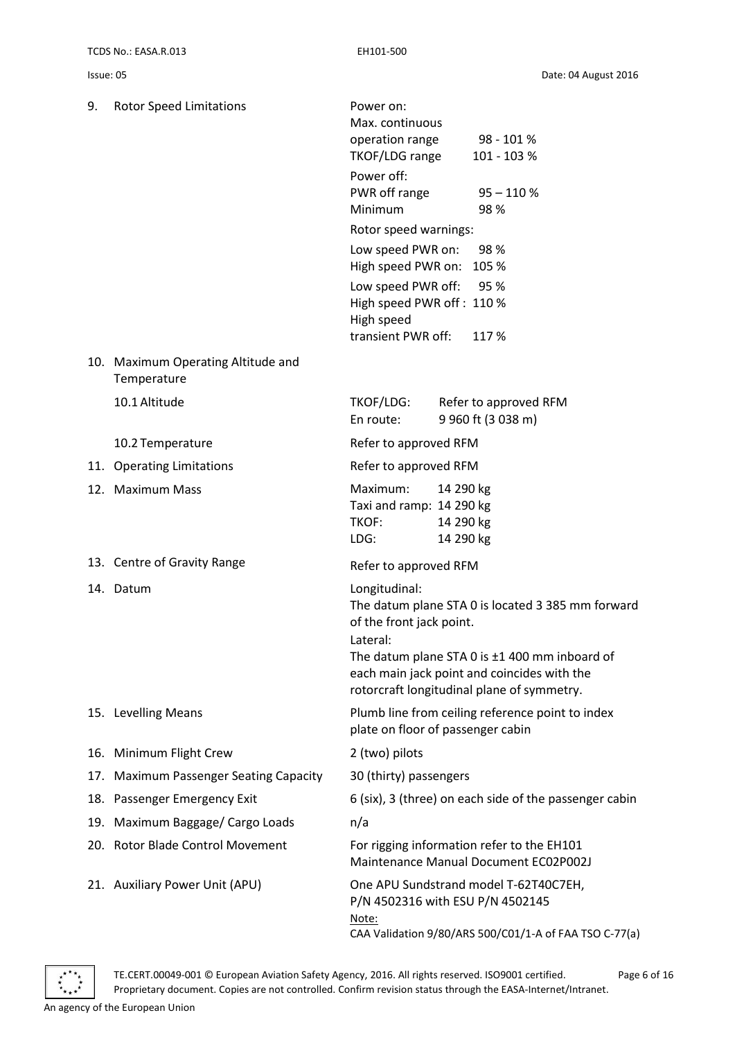| 9. | <b>Rotor Speed Limitations</b>                    | Power on:<br>Max. continuous<br>operation range<br>TKOF/LDG range<br>Power off:<br>PWR off range<br>Minimum |                                     | 98 - 101 %<br>101 - 103 %<br>$95 - 110 %$<br>98%                                                                                                                                                |
|----|---------------------------------------------------|-------------------------------------------------------------------------------------------------------------|-------------------------------------|-------------------------------------------------------------------------------------------------------------------------------------------------------------------------------------------------|
|    |                                                   | Rotor speed warnings:                                                                                       |                                     |                                                                                                                                                                                                 |
|    |                                                   | Low speed PWR on:<br>High speed PWR on: 105 %                                                               |                                     | 98 %                                                                                                                                                                                            |
|    |                                                   | Low speed PWR off:<br>High speed PWR off: 110 %<br>High speed                                               |                                     | 95 %                                                                                                                                                                                            |
|    |                                                   | transient PWR off:                                                                                          |                                     | 117%                                                                                                                                                                                            |
|    | 10. Maximum Operating Altitude and<br>Temperature |                                                                                                             |                                     |                                                                                                                                                                                                 |
|    | 10.1 Altitude                                     | TKOF/LDG:<br>En route:                                                                                      |                                     | Refer to approved RFM<br>9 960 ft (3 038 m)                                                                                                                                                     |
|    | 10.2 Temperature                                  | Refer to approved RFM                                                                                       |                                     |                                                                                                                                                                                                 |
|    | 11. Operating Limitations                         | Refer to approved RFM                                                                                       |                                     |                                                                                                                                                                                                 |
|    | 12. Maximum Mass                                  | Maximum:<br>Taxi and ramp: 14 290 kg<br>TKOF:<br>LDG:                                                       | 14 290 kg<br>14 290 kg<br>14 290 kg |                                                                                                                                                                                                 |
|    | 13. Centre of Gravity Range                       | Refer to approved RFM                                                                                       |                                     |                                                                                                                                                                                                 |
|    | 14. Datum                                         | Longitudinal:<br>of the front jack point.<br>Lateral:                                                       |                                     | The datum plane STA 0 is located 3 385 mm forward<br>The datum plane STA 0 is ±1 400 mm inboard of<br>each main jack point and coincides with the<br>rotorcraft longitudinal plane of symmetry. |
|    | 15. Levelling Means                               | plate on floor of passenger cabin                                                                           |                                     | Plumb line from ceiling reference point to index                                                                                                                                                |
|    | 16. Minimum Flight Crew                           | 2 (two) pilots                                                                                              |                                     |                                                                                                                                                                                                 |
|    | 17. Maximum Passenger Seating Capacity            | 30 (thirty) passengers                                                                                      |                                     |                                                                                                                                                                                                 |
|    | 18. Passenger Emergency Exit                      | 6 (six), 3 (three) on each side of the passenger cabin                                                      |                                     |                                                                                                                                                                                                 |
|    | 19. Maximum Baggage/ Cargo Loads                  | n/a                                                                                                         |                                     |                                                                                                                                                                                                 |
|    | 20. Rotor Blade Control Movement                  |                                                                                                             |                                     | For rigging information refer to the EH101<br>Maintenance Manual Document EC02P002J                                                                                                             |
|    | 21. Auxiliary Power Unit (APU)                    | P/N 4502316 with ESU P/N 4502145<br>Note:                                                                   |                                     | One APU Sundstrand model T-62T40C7EH,<br>CAA Validation 9/80/ARS 500/C01/1-A of FAA TSO C-77(a)                                                                                                 |

TE.CERT.00049-001 © European Aviation Safety Agency, 2016. All rights reserved. ISO9001 certified. Page 6 of 16 Proprietary document. Copies are not controlled. Confirm revision status through the EASA-Internet/Intranet.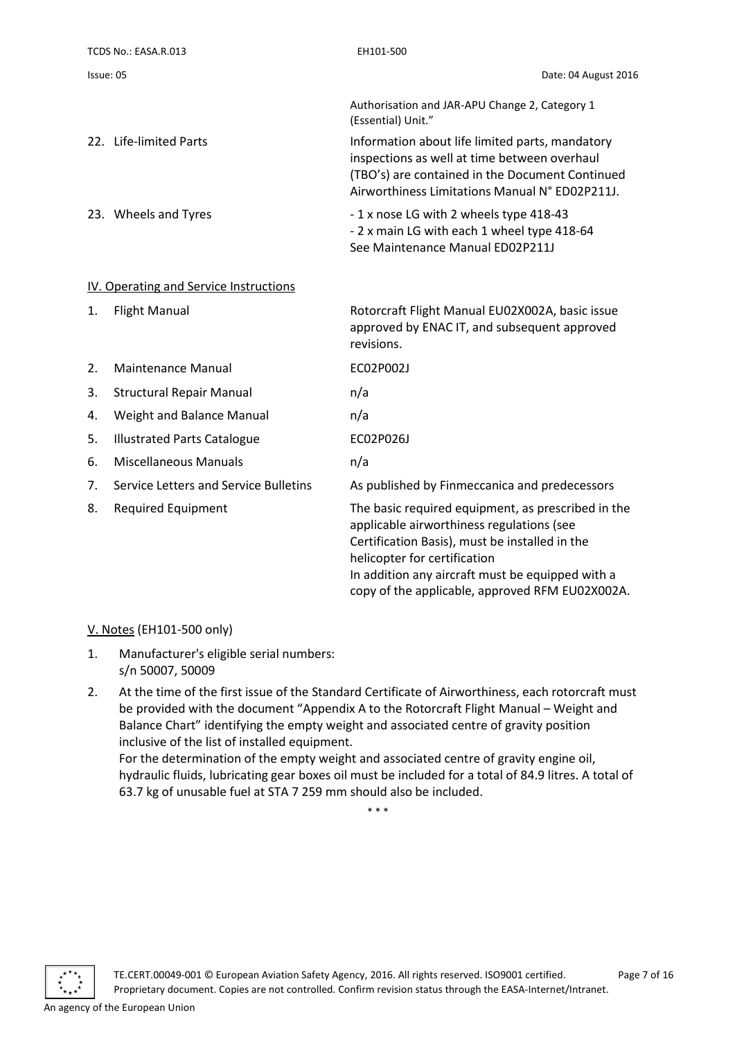| TCDS No.: EASA.R.013                   | EH101-500                                                                                                                                                                                            |
|----------------------------------------|------------------------------------------------------------------------------------------------------------------------------------------------------------------------------------------------------|
| Issue: 05                              | Date: 04 August 2016                                                                                                                                                                                 |
|                                        | Authorisation and JAR-APU Change 2, Category 1<br>(Essential) Unit."                                                                                                                                 |
| 22. Life-limited Parts                 | Information about life limited parts, mandatory<br>inspections as well at time between overhaul<br>(TBO's) are contained in the Document Continued<br>Airworthiness Limitations Manual N° ED02P211J. |
| 23. Wheels and Tyres                   | -1 x nose LG with 2 wheels type 418-43<br>- 2 x main LG with each 1 wheel type 418-64<br>See Maintenance Manual ED02P211J                                                                            |
| IV. Operating and Service Instructions |                                                                                                                                                                                                      |
| <b>Flight Manual</b><br>1.             | Rotorcraft Flight Manual EU02X002A, basic issue                                                                                                                                                      |

<span id="page-6-0"></span>

|    |                                       | approved by ENAC IT, and subsequent approved<br>revisions.                                                                                                                                                                                                                               |
|----|---------------------------------------|------------------------------------------------------------------------------------------------------------------------------------------------------------------------------------------------------------------------------------------------------------------------------------------|
| 2. | Maintenance Manual                    | EC02P002J                                                                                                                                                                                                                                                                                |
| 3. | <b>Structural Repair Manual</b>       | n/a                                                                                                                                                                                                                                                                                      |
| 4. | Weight and Balance Manual             | n/a                                                                                                                                                                                                                                                                                      |
| 5. | <b>Illustrated Parts Catalogue</b>    | EC02P026J                                                                                                                                                                                                                                                                                |
| 6. | Miscellaneous Manuals                 | n/a                                                                                                                                                                                                                                                                                      |
| 7. | Service Letters and Service Bulletins | As published by Finmeccanica and predecessors                                                                                                                                                                                                                                            |
| 8. | Required Equipment                    | The basic required equipment, as prescribed in the<br>applicable airworthiness regulations (see<br>Certification Basis), must be installed in the<br>helicopter for certification<br>In addition any aircraft must be equipped with a<br>copy of the applicable, approved RFM EU02X002A. |

#### <span id="page-6-1"></span>V. Notes (EH101-500 only)

- 1. Manufacturer's eligible serial numbers: s/n 50007, 50009
- 2. At the time of the first issue of the Standard Certificate of Airworthiness, each rotorcraft must be provided with the document "Appendix A to the Rotorcraft Flight Manual – Weight and Balance Chart" identifying the empty weight and associated centre of gravity position inclusive of the list of installed equipment. For the determination of the empty weight and associated centre of gravity engine oil,

hydraulic fluids, lubricating gear boxes oil must be included for a total of 84.9 litres. A total of 63.7 kg of unusable fuel at STA 7 259 mm should also be included.

\* \* \*

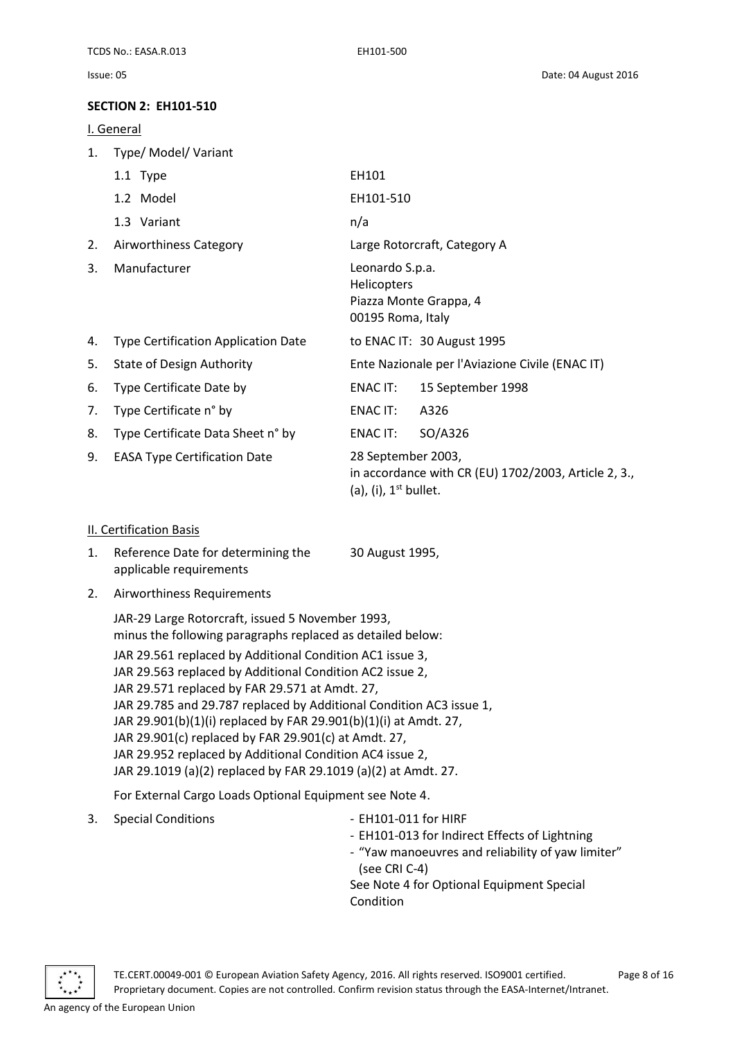### <span id="page-7-0"></span>**SECTION 2: EH101-510**

<span id="page-7-1"></span>I. General

| 1. | Type/ Model/ Variant                       |                                                                                                       |  |  |
|----|--------------------------------------------|-------------------------------------------------------------------------------------------------------|--|--|
|    | 1.1 Type                                   | EH101                                                                                                 |  |  |
|    | 1.2 Model                                  | EH101-510                                                                                             |  |  |
|    | 1.3 Variant                                | n/a                                                                                                   |  |  |
| 2. | Airworthiness Category                     | Large Rotorcraft, Category A                                                                          |  |  |
| 3. | Manufacturer                               | Leonardo S.p.a.<br><b>Helicopters</b><br>Piazza Monte Grappa, 4<br>00195 Roma, Italy                  |  |  |
| 4. | <b>Type Certification Application Date</b> | to ENAC IT: 30 August 1995                                                                            |  |  |
| 5. | <b>State of Design Authority</b>           | Ente Nazionale per l'Aviazione Civile (ENAC IT)                                                       |  |  |
| 6. | Type Certificate Date by                   | ENAC IT:<br>15 September 1998                                                                         |  |  |
| 7. | Type Certificate n° by                     | ENAC IT:<br>A326                                                                                      |  |  |
| 8. | Type Certificate Data Sheet n° by          | SO/A326<br>ENAC IT:                                                                                   |  |  |
| 9. | <b>EASA Type Certification Date</b>        | 28 September 2003,<br>in accordance with CR (EU) 1702/2003, Article 2, 3.,<br>(a), (i), $1st$ bullet. |  |  |

#### <span id="page-7-2"></span>II. Certification Basis

- 1. Reference Date for determining the applicable requirements 30 August 1995,
- 2. Airworthiness Requirements

JAR-29 Large Rotorcraft, issued 5 November 1993, minus the following paragraphs replaced as detailed below:

JAR 29.561 replaced by Additional Condition AC1 issue 3, JAR 29.563 replaced by Additional Condition AC2 issue 2, JAR 29.571 replaced by FAR 29.571 at Amdt. 27, JAR 29.785 and 29.787 replaced by Additional Condition AC3 issue 1, JAR 29.901(b)(1)(i) replaced by FAR 29.901(b)(1)(i) at Amdt. 27, JAR 29.901(c) replaced by FAR 29.901(c) at Amdt. 27, JAR 29.952 replaced by Additional Condition AC4 issue 2, JAR 29.1019 (a)(2) replaced by FAR 29.1019 (a)(2) at Amdt. 27.

For External Cargo Loads Optional Equipment see Note 4.

- 3. Special Conditions EH101-011 for HIRF
- - EH101-013 for Indirect Effects of Lightning
	- "Yaw manoeuvres and reliability of yaw limiter" (see CRI C-4)

See Note 4 for Optional Equipment Special Condition

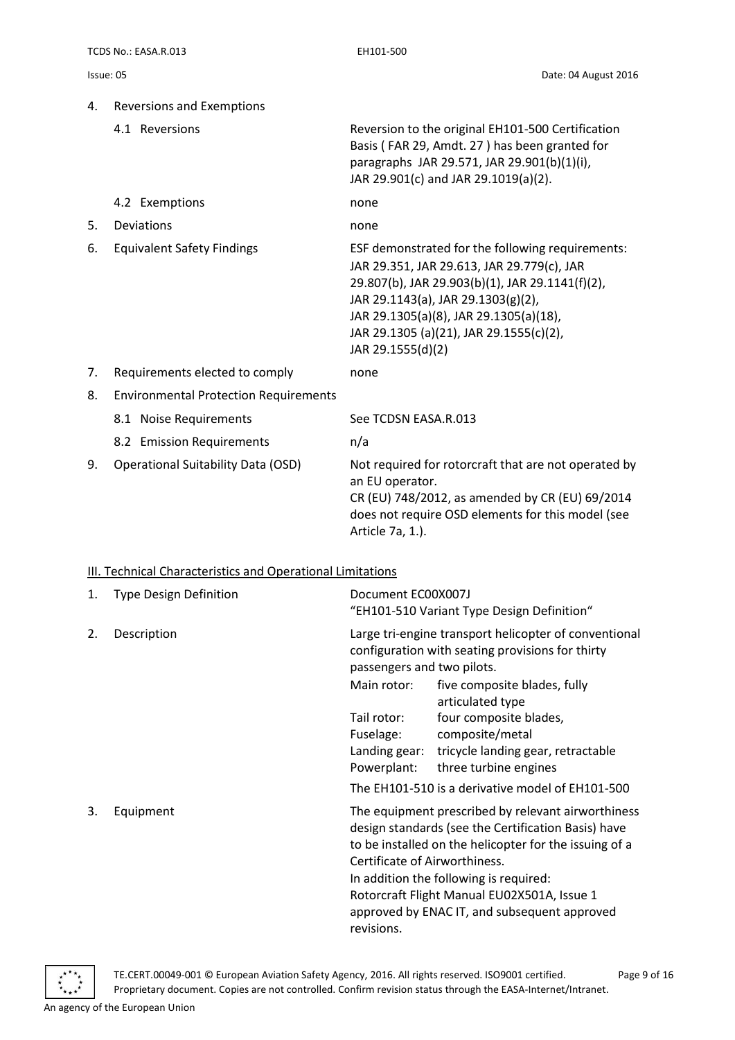| 4. | <b>Reversions and Exemptions</b>                                  |                                                                                                                                                                                                                                                                                                   |
|----|-------------------------------------------------------------------|---------------------------------------------------------------------------------------------------------------------------------------------------------------------------------------------------------------------------------------------------------------------------------------------------|
|    | 4.1 Reversions                                                    | Reversion to the original EH101-500 Certification<br>Basis (FAR 29, Amdt. 27) has been granted for<br>paragraphs JAR 29.571, JAR 29.901(b)(1)(i),<br>JAR 29.901(c) and JAR 29.1019(a)(2).                                                                                                         |
|    | 4.2 Exemptions                                                    | none                                                                                                                                                                                                                                                                                              |
| 5. | Deviations                                                        | none                                                                                                                                                                                                                                                                                              |
| 6. | <b>Equivalent Safety Findings</b>                                 | ESF demonstrated for the following requirements:<br>JAR 29.351, JAR 29.613, JAR 29.779(c), JAR<br>29.807(b), JAR 29.903(b)(1), JAR 29.1141(f)(2),<br>JAR 29.1143(a), JAR 29.1303(g)(2),<br>JAR 29.1305(a)(8), JAR 29.1305(a)(18),<br>JAR 29.1305 (a)(21), JAR 29.1555(c)(2),<br>JAR 29.1555(d)(2) |
| 7. | Requirements elected to comply                                    | none                                                                                                                                                                                                                                                                                              |
| 8. | <b>Environmental Protection Requirements</b>                      |                                                                                                                                                                                                                                                                                                   |
|    | 8.1 Noise Requirements                                            | See TCDSN EASA.R.013                                                                                                                                                                                                                                                                              |
|    | 8.2 Emission Requirements                                         | n/a                                                                                                                                                                                                                                                                                               |
| 9. | <b>Operational Suitability Data (OSD)</b>                         | Not required for rotorcraft that are not operated by<br>an EU operator.<br>CR (EU) 748/2012, as amended by CR (EU) 69/2014<br>does not require OSD elements for this model (see<br>Article 7a, 1.).                                                                                               |
|    | <b>III. Technical Characteristics and Operational Limitations</b> |                                                                                                                                                                                                                                                                                                   |
| 1. | <b>Type Design Definition</b>                                     | Document EC00X007J<br>$^{\prime\prime}$ FU101 F10 Verjant Tune Design Definition $^{\prime\prime}$                                                                                                                                                                                                |

<span id="page-8-0"></span>

|    |             |                                                          | EHIUI-5IU VAriant Type Design Definition                                                                                                                                                                                                                                                                     |
|----|-------------|----------------------------------------------------------|--------------------------------------------------------------------------------------------------------------------------------------------------------------------------------------------------------------------------------------------------------------------------------------------------------------|
| 2. | Description | passengers and two pilots.                               | Large tri-engine transport helicopter of conventional<br>configuration with seating provisions for thirty                                                                                                                                                                                                    |
|    |             | Main rotor:                                              | five composite blades, fully<br>articulated type                                                                                                                                                                                                                                                             |
|    |             | Tail rotor:<br>Fuselage:<br>Landing gear:<br>Powerplant: | four composite blades,<br>composite/metal<br>tricycle landing gear, retractable<br>three turbine engines                                                                                                                                                                                                     |
|    |             |                                                          | The EH101-510 is a derivative model of EH101-500                                                                                                                                                                                                                                                             |
| 3. | Equipment   | Certificate of Airworthiness.<br>revisions.              | The equipment prescribed by relevant airworthiness<br>design standards (see the Certification Basis) have<br>to be installed on the helicopter for the issuing of a<br>In addition the following is required:<br>Rotorcraft Flight Manual EU02X501A, Issue 1<br>approved by ENAC IT, and subsequent approved |

TE.CERT.00049-001 © European Aviation Safety Agency, 2016. All rights reserved. ISO9001 certified. Page 9 of 16 Proprietary document. Copies are not controlled. Confirm revision status through the EASA-Internet/Intranet.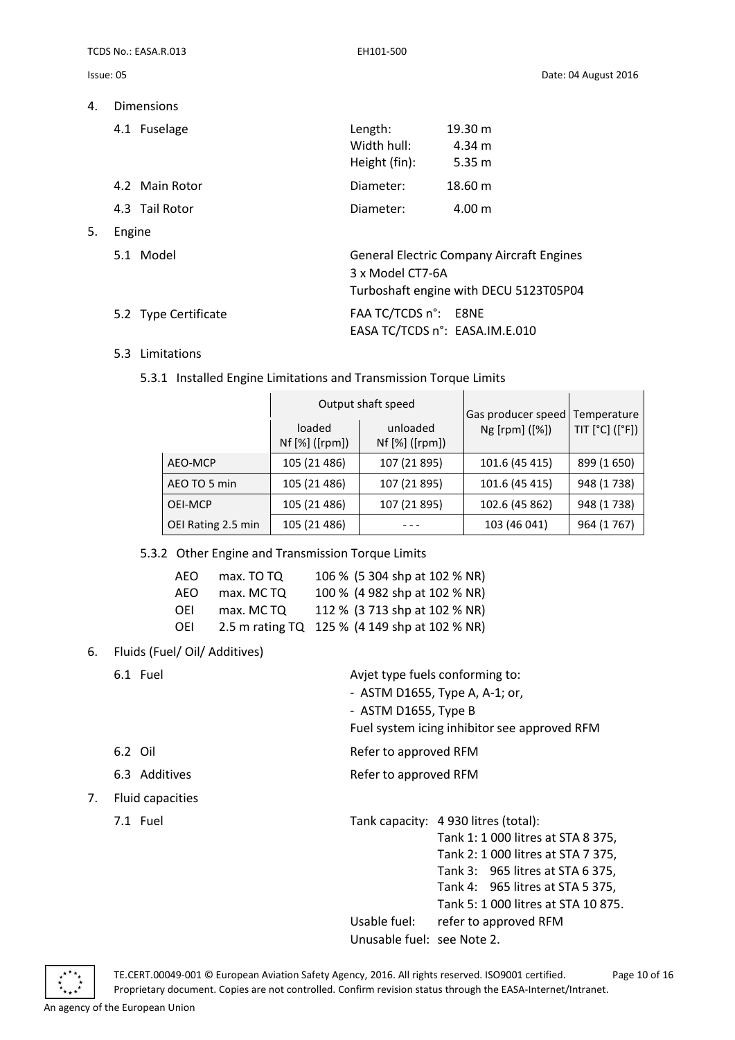TCDS No.: EASA.R.013 EH101-500

5. Engine

4. Dimensions

|        | 4.1 Fuselage         | Length:<br>Width hull:<br>Height (fin):                | 19.30 m<br>4.34 m<br>5.35 m                                                                |
|--------|----------------------|--------------------------------------------------------|--------------------------------------------------------------------------------------------|
|        | 4.2 Main Rotor       | Diameter:                                              | 18.60 m                                                                                    |
|        | 4.3 Tail Rotor       | Diameter:                                              | 4.00 m                                                                                     |
| Engine |                      |                                                        |                                                                                            |
|        | 5.1 Model            | 3 x Model CT7-6A                                       | <b>General Electric Company Aircraft Engines</b><br>Turboshaft engine with DECU 5123T05P04 |
|        | 5.2 Type Certificate | FAA TC/TCDS n°: E8NE<br>EASA TC/TCDS n°: EASA.IM.E.010 |                                                                                            |

#### 5.3 Limitations

#### 5.3.1 Installed Engine Limitations and Transmission Torque Limits

|                    |                          | Output shaft speed         | Gas producer speed | Temperature<br>TIT [°C] ([°F]) |
|--------------------|--------------------------|----------------------------|--------------------|--------------------------------|
|                    | loaded<br>Nf [%] ([rpm]) | unloaded<br>Nf [%] ([rpm]) | Ng [rpm] ([%])     |                                |
| AEO-MCP            | 105 (21 486)             | 107 (21 895)               | 101.6 (45 415)     | 899 (1650)                     |
| AEO TO 5 min       | 105 (21 486)             | 107 (21 895)               | 101.6 (45 415)     | 948 (1738)                     |
| OEI-MCP            | 105 (21 486)             | 107 (21 895)               | 102.6 (45 862)     | 948 (1738)                     |
| OEI Rating 2.5 min | 105 (21 486)             |                            | 103 (46 041)       | 964 (1767)                     |

5.3.2 Other Engine and Transmission Torque Limits

| AFO        | max. TO TO | 106 % (5 304 shp at 102 % NR)                 |
|------------|------------|-----------------------------------------------|
| AFO        | max. MCTQ  | 100 % (4 982 shp at 102 % NR)                 |
| <b>OEI</b> | max. MCTQ  | 112 % (3 713 shp at 102 % NR)                 |
| <b>OEI</b> |            | 2.5 m rating TQ 125 % (4 149 shp at 102 % NR) |

#### 6. Fluids (Fuel/ Oil/ Additives)

|    | 6.1 Fuel         |                            | Avjet type fuels conforming to:              |
|----|------------------|----------------------------|----------------------------------------------|
|    |                  |                            | - ASTM D1655, Type A, A-1; or,               |
|    |                  | - ASTM D1655, Type B       |                                              |
|    |                  |                            | Fuel system icing inhibitor see approved RFM |
|    | 6.2 Oil          | Refer to approved RFM      |                                              |
|    | 6.3 Additives    | Refer to approved RFM      |                                              |
| 7. | Fluid capacities |                            |                                              |
|    | 7.1 Fuel         |                            | Tank capacity: 4 930 litres (total):         |
|    |                  |                            | Tank 1: 1 000 litres at STA 8 375,           |
|    |                  |                            | Tank 2: 1 000 litres at STA 7 375,           |
|    |                  |                            | Tank 3: 965 litres at STA 6 375,             |
|    |                  |                            | Tank 4: 965 litres at STA 5 375,             |
|    |                  |                            | Tank 5: 1 000 litres at STA 10 875.          |
|    |                  | Usable fuel:               | refer to approved RFM                        |
|    |                  | Unusable fuel: see Note 2. |                                              |



TE.CERT.00049-001 © European Aviation Safety Agency, 2016. All rights reserved. ISO9001 certified. Page 10 of 16 Proprietary document. Copies are not controlled. Confirm revision status through the EASA-Internet/Intranet.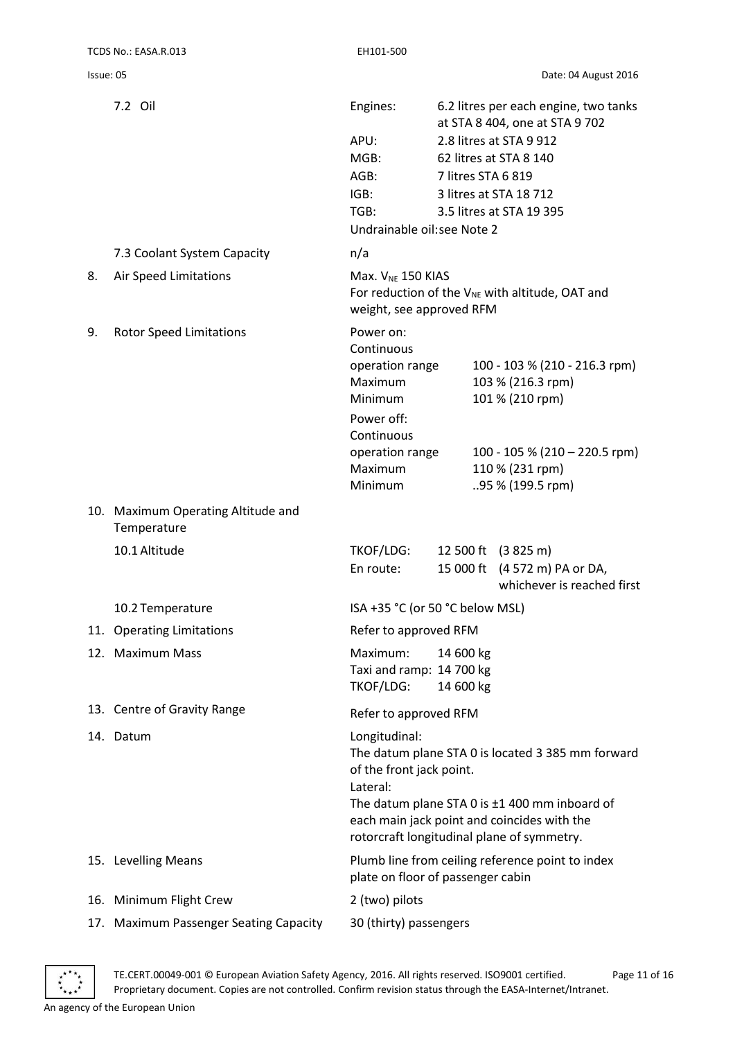|    | 7.2 Oil                                           | Engines:                                   |                    | 6.2 litres per each engine, two tanks                |  |
|----|---------------------------------------------------|--------------------------------------------|--------------------|------------------------------------------------------|--|
|    |                                                   |                                            |                    | at STA 8 404, one at STA 9 702                       |  |
|    |                                                   | APU:                                       |                    | 2.8 litres at STA 9 912                              |  |
|    |                                                   | MGB:                                       |                    | 62 litres at STA 8 140                               |  |
|    |                                                   | AGB:                                       | 7 litres STA 6 819 |                                                      |  |
|    |                                                   | IGB:<br>TGB:                               |                    | 3 litres at STA 18 712<br>3.5 litres at STA 19 395   |  |
|    |                                                   | Undrainable oil: see Note 2                |                    |                                                      |  |
|    | 7.3 Coolant System Capacity                       | n/a                                        |                    |                                                      |  |
| 8. | Air Speed Limitations                             | Max. $V_{NE}$ 150 KIAS                     |                    |                                                      |  |
|    |                                                   | weight, see approved RFM                   |                    | For reduction of the $V_{NE}$ with altitude, OAT and |  |
| 9. | <b>Rotor Speed Limitations</b>                    | Power on:                                  |                    |                                                      |  |
|    |                                                   | Continuous                                 |                    |                                                      |  |
|    |                                                   | operation range<br>Maximum                 |                    | 100 - 103 % (210 - 216.3 rpm)<br>103 % (216.3 rpm)   |  |
|    |                                                   | Minimum                                    |                    | 101 % (210 rpm)                                      |  |
|    |                                                   | Power off:                                 |                    |                                                      |  |
|    |                                                   | Continuous                                 |                    |                                                      |  |
|    |                                                   | operation range                            |                    | 100 - 105 % (210 – 220.5 rpm)                        |  |
|    |                                                   | Maximum                                    |                    | 110 % (231 rpm)                                      |  |
|    |                                                   | Minimum                                    |                    | 95 % (199.5 rpm)                                     |  |
|    | 10. Maximum Operating Altitude and<br>Temperature |                                            |                    |                                                      |  |
|    | 10.1 Altitude                                     | TKOF/LDG:                                  |                    | 12 500 ft (3 825 m)                                  |  |
|    |                                                   | En route:                                  |                    | 15 000 ft (4 572 m) PA or DA,                        |  |
|    |                                                   |                                            |                    | whichever is reached first                           |  |
|    | 10.2 Temperature                                  | ISA +35 °C (or 50 °C below MSL)            |                    |                                                      |  |
|    | 11. Operating Limitations                         | Refer to approved RFM                      |                    |                                                      |  |
|    | 12. Maximum Mass                                  | Maximum:                                   | 14 600 kg          |                                                      |  |
|    |                                                   | Taxi and ramp: 14 700 kg                   |                    |                                                      |  |
|    |                                                   | TKOF/LDG:                                  | 14 600 kg          |                                                      |  |
|    | 13. Centre of Gravity Range                       | Refer to approved RFM                      |                    |                                                      |  |
|    | 14. Datum                                         | Longitudinal:                              |                    |                                                      |  |
|    |                                                   |                                            |                    | The datum plane STA 0 is located 3 385 mm forward    |  |
|    |                                                   | of the front jack point.<br>Lateral:       |                    |                                                      |  |
|    |                                                   |                                            |                    | The datum plane STA 0 is ±1 400 mm inboard of        |  |
|    |                                                   |                                            |                    | each main jack point and coincides with the          |  |
|    |                                                   | rotorcraft longitudinal plane of symmetry. |                    |                                                      |  |
|    | 15. Levelling Means                               |                                            |                    | Plumb line from ceiling reference point to index     |  |
|    |                                                   | plate on floor of passenger cabin          |                    |                                                      |  |
|    | 16. Minimum Flight Crew                           | 2 (two) pilots                             |                    |                                                      |  |
|    | 17. Maximum Passenger Seating Capacity            | 30 (thirty) passengers                     |                    |                                                      |  |

TE.CERT.00049-001 © European Aviation Safety Agency, 2016. All rights reserved. ISO9001 certified. Page 11 of 16 Proprietary document. Copies are not controlled. Confirm revision status through the EASA-Internet/Intranet.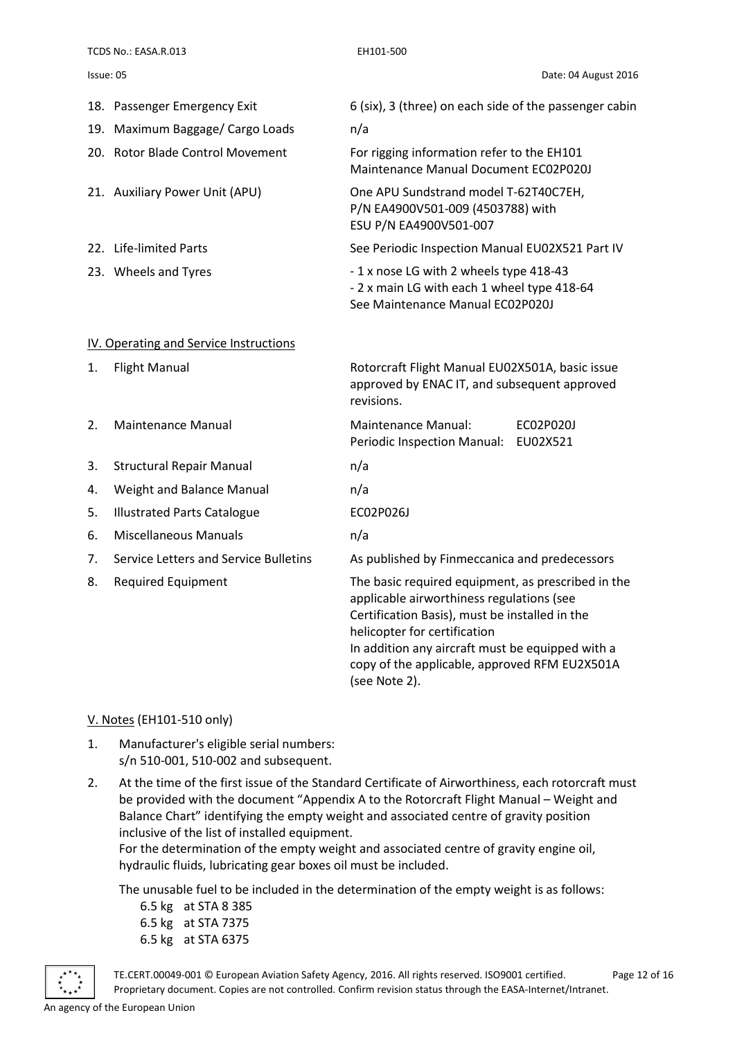TCDS No.: EASA.R.013 EH101-500

<span id="page-11-0"></span>

|    | 18. Passenger Emergency Exit           | 6 (six), 3 (three) on each side of the passenger cabin                                                                                                                                                                                                                                                  |
|----|----------------------------------------|---------------------------------------------------------------------------------------------------------------------------------------------------------------------------------------------------------------------------------------------------------------------------------------------------------|
|    | 19. Maximum Baggage/ Cargo Loads       | n/a                                                                                                                                                                                                                                                                                                     |
|    | 20. Rotor Blade Control Movement       | For rigging information refer to the EH101<br>Maintenance Manual Document EC02P020J                                                                                                                                                                                                                     |
|    | 21. Auxiliary Power Unit (APU)         | One APU Sundstrand model T-62T40C7EH,<br>P/N EA4900V501-009 (4503788) with<br>ESU P/N EA4900V501-007                                                                                                                                                                                                    |
|    | 22. Life-limited Parts                 | See Periodic Inspection Manual EU02X521 Part IV                                                                                                                                                                                                                                                         |
|    | 23. Wheels and Tyres                   | -1 x nose LG with 2 wheels type 418-43<br>- 2 x main LG with each 1 wheel type 418-64<br>See Maintenance Manual EC02P020J                                                                                                                                                                               |
|    | IV. Operating and Service Instructions |                                                                                                                                                                                                                                                                                                         |
| 1. | <b>Flight Manual</b>                   | Rotorcraft Flight Manual EU02X501A, basic issue<br>approved by ENAC IT, and subsequent approved<br>revisions.                                                                                                                                                                                           |
| 2. | <b>Maintenance Manual</b>              | <b>Maintenance Manual:</b><br>EC02P020J<br>Periodic Inspection Manual:<br>EU02X521                                                                                                                                                                                                                      |
| 3. | <b>Structural Repair Manual</b>        | n/a                                                                                                                                                                                                                                                                                                     |
| 4. | Weight and Balance Manual              | n/a                                                                                                                                                                                                                                                                                                     |
| 5. | <b>Illustrated Parts Catalogue</b>     | EC02P026J                                                                                                                                                                                                                                                                                               |
| 6. | <b>Miscellaneous Manuals</b>           | n/a                                                                                                                                                                                                                                                                                                     |
| 7. | Service Letters and Service Bulletins  | As published by Finmeccanica and predecessors                                                                                                                                                                                                                                                           |
| 8. | <b>Required Equipment</b>              | The basic required equipment, as prescribed in the<br>applicable airworthiness regulations (see<br>Certification Basis), must be installed in the<br>helicopter for certification<br>In addition any aircraft must be equipped with a<br>copy of the applicable, approved RFM EU2X501A<br>(see Note 2). |

#### <span id="page-11-1"></span>V. Notes (EH101-510 only)

- 1. Manufacturer's eligible serial numbers: s/n 510-001, 510-002 and subsequent.
- 2. At the time of the first issue of the Standard Certificate of Airworthiness, each rotorcraft must be provided with the document "Appendix A to the Rotorcraft Flight Manual – Weight and Balance Chart" identifying the empty weight and associated centre of gravity position inclusive of the list of installed equipment.

For the determination of the empty weight and associated centre of gravity engine oil, hydraulic fluids, lubricating gear boxes oil must be included.

The unusable fuel to be included in the determination of the empty weight is as follows:

6.5 kg at STA 8 385 6.5 kg at STA 7375 6.5 kg at STA 6375

TE.CERT.00049-001 © European Aviation Safety Agency, 2016. All rights reserved. ISO9001 certified. Page 12 of 16 Proprietary document. Copies are not controlled. Confirm revision status through the EASA-Internet/Intranet.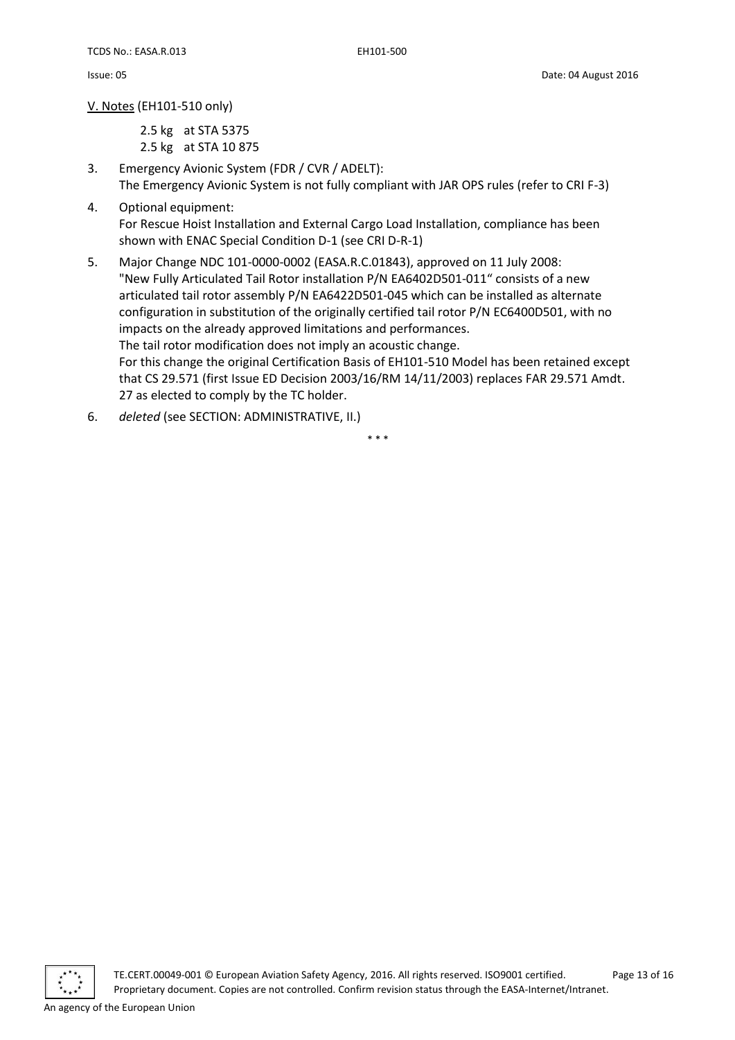V. Notes (EH101-510 only)

2.5 kg at STA 5375 2.5 kg at STA 10 875

- 3. Emergency Avionic System (FDR / CVR / ADELT): The Emergency Avionic System is not fully compliant with JAR OPS rules (refer to CRI F-3)
- 4. Optional equipment: For Rescue Hoist Installation and External Cargo Load Installation, compliance has been shown with ENAC Special Condition D-1 (see CRI D-R-1)
- 5. Major Change NDC 101-0000-0002 (EASA.R.C.01843), approved on 11 July 2008: "New Fully Articulated Tail Rotor installation P/N EA6402D501-011" consists of a new articulated tail rotor assembly P/N EA6422D501-045 which can be installed as alternate configuration in substitution of the originally certified tail rotor P/N EC6400D501, with no impacts on the already approved limitations and performances. The tail rotor modification does not imply an acoustic change. For this change the original Certification Basis of EH101-510 Model has been retained except that CS 29.571 (first Issue ED Decision 2003/16/RM 14/11/2003) replaces FAR 29.571 Amdt. 27 as elected to comply by the TC holder.
- 6. *deleted* (see SECTION: ADMINISTRATIVE, II.)

\* \* \*



TE.CERT.00049-001 © European Aviation Safety Agency, 2016. All rights reserved. ISO9001 certified. Page 13 of 16 Proprietary document. Copies are not controlled. Confirm revision status through the EASA-Internet/Intranet.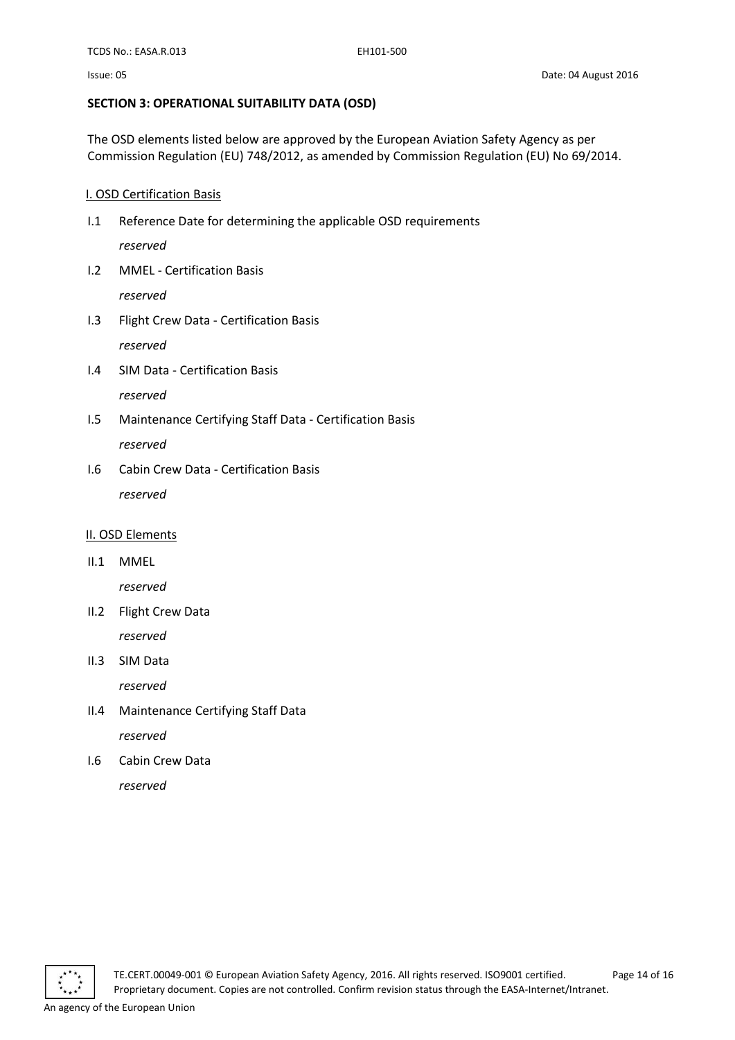#### <span id="page-13-0"></span>**SECTION 3: OPERATIONAL SUITABILITY DATA (OSD)**

The OSD elements listed below are approved by the European Aviation Safety Agency as per Commission Regulation (EU) 748/2012, as amended by Commission Regulation (EU) No 69/2014.

#### <span id="page-13-1"></span>I. OSD Certification Basis

I.1 Reference Date for determining the applicable OSD requirements

*reserved*

I.2 MMEL - Certification Basis

*reserved*

- I.3 Flight Crew Data Certification Basis *reserved*
- I.4 SIM Data Certification Basis *reserved*
- I.5 Maintenance Certifying Staff Data Certification Basis *reserved*
- I.6 Cabin Crew Data Certification Basis *reserved*

#### <span id="page-13-2"></span>II. OSD Elements

II.1 MMEL

*reserved*

- II.2 Flight Crew Data *reserved*
- II.3 SIM Data

*reserved*

- II.4 Maintenance Certifying Staff Data *reserved*
- I.6 Cabin Crew Data *reserved*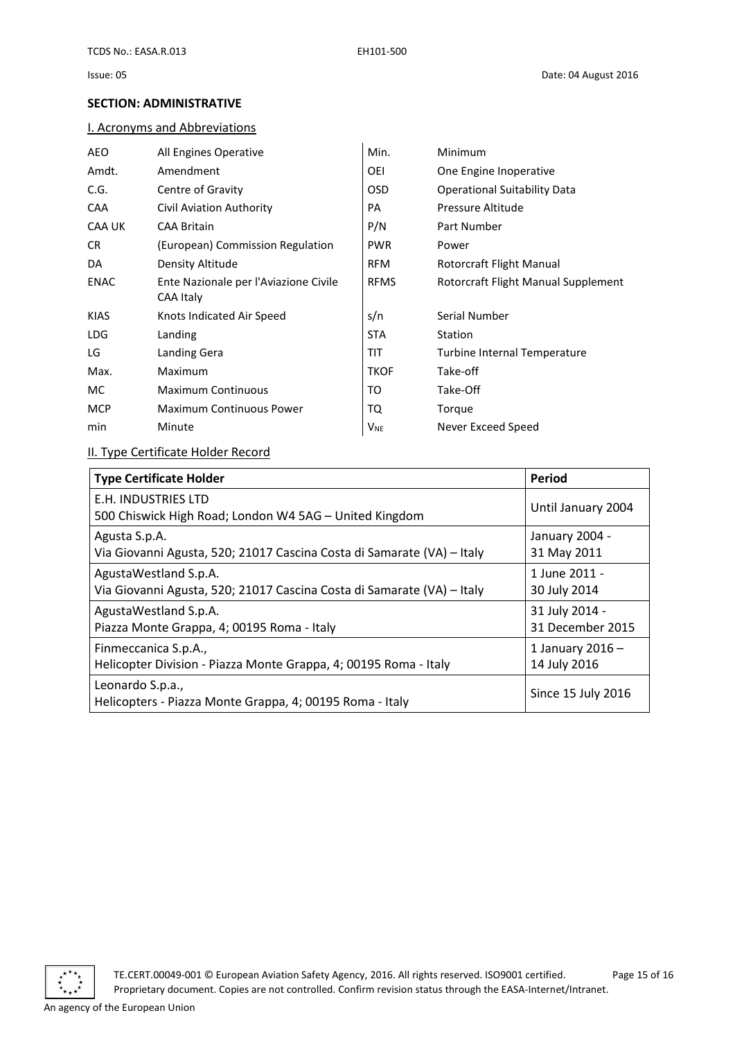#### <span id="page-14-0"></span>**SECTION: ADMINISTRATIVE**

#### <span id="page-14-1"></span>I. Acronyms and Abbreviations

| AEO         | All Engines Operative                 | Min.                  | Minimum                             |
|-------------|---------------------------------------|-----------------------|-------------------------------------|
| Amdt.       | Amendment                             | OEI                   | One Engine Inoperative              |
| C.G.        | Centre of Gravity                     | OSD                   | <b>Operational Suitability Data</b> |
| <b>CAA</b>  | Civil Aviation Authority              | PA                    | Pressure Altitude                   |
| CAA UK      | <b>CAA Britain</b>                    | P/N                   | Part Number                         |
| CR.         | (European) Commission Regulation      | <b>PWR</b>            | Power                               |
| DA          | Density Altitude                      | <b>RFM</b>            | Rotorcraft Flight Manual            |
| ENAC        | Ente Nazionale per l'Aviazione Civile | <b>RFMS</b>           | Rotorcraft Flight Manual Supplement |
|             | CAA Italy                             |                       |                                     |
| <b>KIAS</b> | Knots Indicated Air Speed             | s/n                   | Serial Number                       |
| LDG         | Landing                               | STA.                  | <b>Station</b>                      |
| LG          | Landing Gera                          | TIT                   | Turbine Internal Temperature        |
| Max.        | Maximum                               | <b>TKOF</b>           | Take-off                            |
| MC.         | <b>Maximum Continuous</b>             | то                    | Take-Off                            |
| <b>MCP</b>  | <b>Maximum Continuous Power</b>       | TQ                    | Torque                              |
| min         | Minute                                | <b>V<sub>NE</sub></b> | Never Exceed Speed                  |
|             |                                       |                       |                                     |

#### <span id="page-14-2"></span>II. Type Certificate Holder Record

<span id="page-14-3"></span>

| <b>Type Certificate Holder</b>                                                | <b>Period</b>      |
|-------------------------------------------------------------------------------|--------------------|
| E.H. INDUSTRIES LTD<br>500 Chiswick High Road; London W4 5AG - United Kingdom | Until January 2004 |
| Agusta S.p.A.                                                                 | January 2004 -     |
| Via Giovanni Agusta, 520; 21017 Cascina Costa di Samarate (VA) - Italy        | 31 May 2011        |
| AgustaWestland S.p.A.                                                         | 1 June 2011 -      |
| Via Giovanni Agusta, 520; 21017 Cascina Costa di Samarate (VA) - Italy        | 30 July 2014       |
| AgustaWestland S.p.A.                                                         | 31 July 2014 -     |
| Piazza Monte Grappa, 4; 00195 Roma - Italy                                    | 31 December 2015   |
| Finmeccanica S.p.A.,                                                          | 1 January 2016 $-$ |
| Helicopter Division - Piazza Monte Grappa, 4; 00195 Roma - Italy              | 14 July 2016       |
| Leonardo S.p.a.,<br>Helicopters - Piazza Monte Grappa, 4; 00195 Roma - Italy  | Since 15 July 2016 |



TE.CERT.00049-001 © European Aviation Safety Agency, 2016. All rights reserved. ISO9001 certified. Page 15 of 16 Proprietary document. Copies are not controlled. Confirm revision status through the EASA-Internet/Intranet.